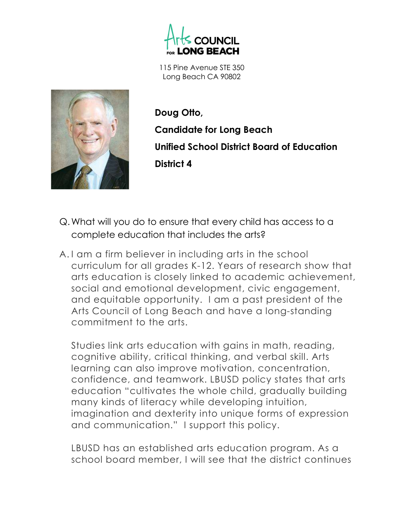



Doug Otto, Candidate for Long Beach Unified School District Board of Education District 4

- Q.What will you do to ensure that every child has access to a complete education that includes the arts?
- A. I am a firm believer in including arts in the school curriculum for all grades K-12. Years of research show that arts education is closely linked to academic achievement, social and emotional development, civic engagement, and equitable opportunity. I am a past president of the Arts Council of Long Beach and have a long-standing commitment to the arts.

Studies link arts education with gains in math, reading, cognitive ability, critical thinking, and verbal skill. Arts learning can also improve motivation, concentration, confidence, and teamwork. LBUSD policy states that arts education "cultivates the whole child, gradually building many kinds of literacy while developing intuition, imagination and dexterity into unique forms of expression and communication." I support this policy.

LBUSD has an established arts education program. As a school board member, I will see that the district continues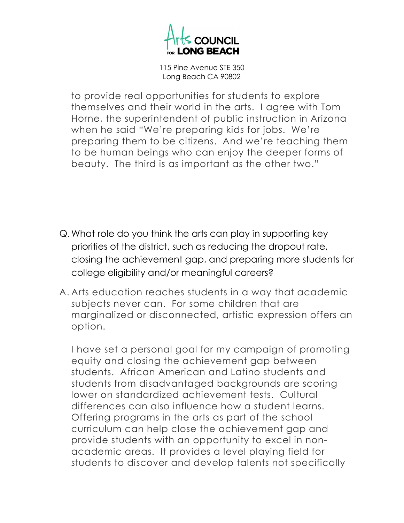

to provide real opportunities for students to explore themselves and their world in the arts. I agree with Tom Horne, the superintendent of public instruction in Arizona when he said "We're preparing kids for jobs. We're preparing them to be citizens. And we're teaching them to be human beings who can enjoy the deeper forms of beauty. The third is as important as the other two."

- Q.What role do you think the arts can play in supporting key priorities of the district, such as reducing the dropout rate, closing the achievement gap, and preparing more students for college eligibility and/or meaningful careers?
- A. Arts education reaches students in a way that academic subjects never can. For some children that are marginalized or disconnected, artistic expression offers an option.

I have set a personal goal for my campaign of promoting equity and closing the achievement gap between students. African American and Latino students and students from disadvantaged backgrounds are scoring lower on standardized achievement tests. Cultural differences can also influence how a student learns. Offering programs in the arts as part of the school curriculum can help close the achievement gap and provide students with an opportunity to excel in nonacademic areas. It provides a level playing field for students to discover and develop talents not specifically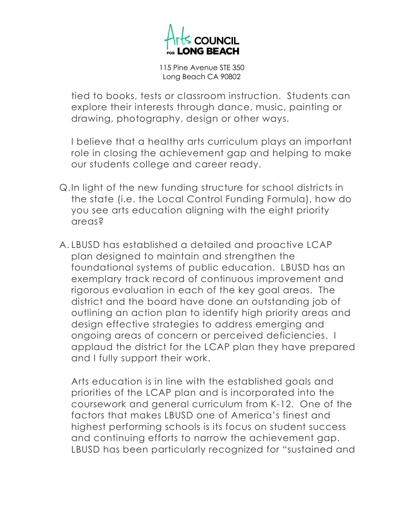

tied to books, tests or classroom instruction. Students can explore their interests through dance, music, painting or drawing, photography, design or other ways.

I believe that a healthy arts curriculum plays an important role in closing the achievement gap and helping to make our students college and career ready.

- Q.In light of the new funding structure for school districts in the state (i.e. the Local Control Funding Formula), how do you see arts education aligning with the eight priority areas?
- A. LBUSD has established a detailed and proactive LCAP plan designed to maintain and strengthen the foundational systems of public education. LBUSD has an exemplary track record of continuous improvement and rigorous evaluation in each of the key goal areas. The district and the board have done an outstanding job of outlining an action plan to identify high priority areas and design effective strategies to address emerging and ongoing areas of concern or perceived deficiencies. I applaud the district for the LCAP plan they have prepared and I fully support their work.

Arts education is in line with the established goals and priorities of the LCAP plan and is incorporated into the coursework and general curriculum from K-12. One of the factors that makes LBUSD one of America's finest and highest performing schools is its focus on student success and continuing efforts to narrow the achievement gap. LBUSD has been particularly recognized for "sustained and